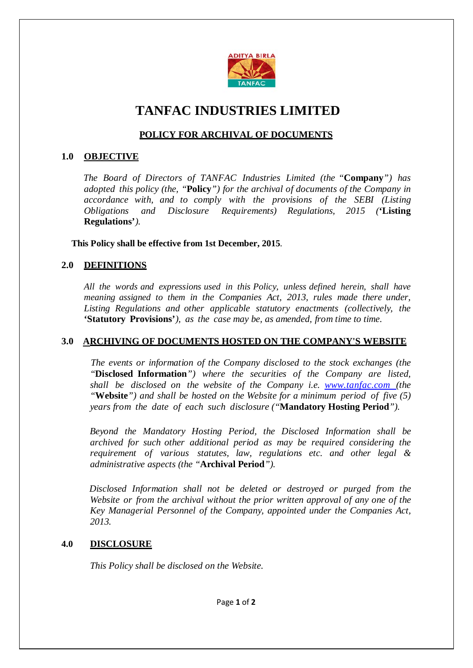

# **TANFAC INDUSTRIES LIMITED**

## **POLICY FOR ARCHIVAL OF DOCUMENTS**

## **1.0 OBJECTIVE**

 *The Board of Directors of TANFAC Industries Limited (the "***Company***") has adopted this policy (the, "***Policy***") for the archival of documents of the Company in accordance with, and to comply with the provisions of the SEBI (Listing Obligations and Disclosure Requirements) Regulations, 2015 (***'Listing Regulations'***).*

#### **This Policy shall be effective from 1st December, 2015***.*

## **2.0 DEFINITIONS**

*All the words and expressions used in this Policy, unless defined herein, shall have meaning assigned to them in the Companies Act, 2013, rules made there under, Listing Regulations and other applicable statutory enactments (collectively, the* **'Statutory Provisions'***), as the case may be, as amended, from time to time.*

## **3.0 ARCHIVING OF DOCUMENTS HOSTED ON THE COMPANY'S WEBSITE**

 *The events or information of the Company disclosed to the stock exchanges (the "***Disclosed Information***") where the securities of the Company are listed, shall be disclosed on the website of the Company i.e. [www.tanfac.com](http://www.tanfac.com/) (the "***Website***") and shall be hosted on the Website for a minimum period of five (5) years from the date of each such disclosure ("***Mandatory Hosting Period***").*

 *Beyond the Mandatory Hosting Period, the Disclosed Information shall be archived for such other additional period as may be required considering the requirement of various statutes, law, regulations etc. and other legal & administrative aspects (the "***Archival Period***").*

 *Disclosed Information shall not be deleted or destroyed or purged from the Website or from the archival without the prior written approval of any one of the Key Managerial Personnel of the Company, appointed under the Companies Act, 2013.*

## **4.0 DISCLOSURE**

*This Policy shall be disclosed on the Website.*